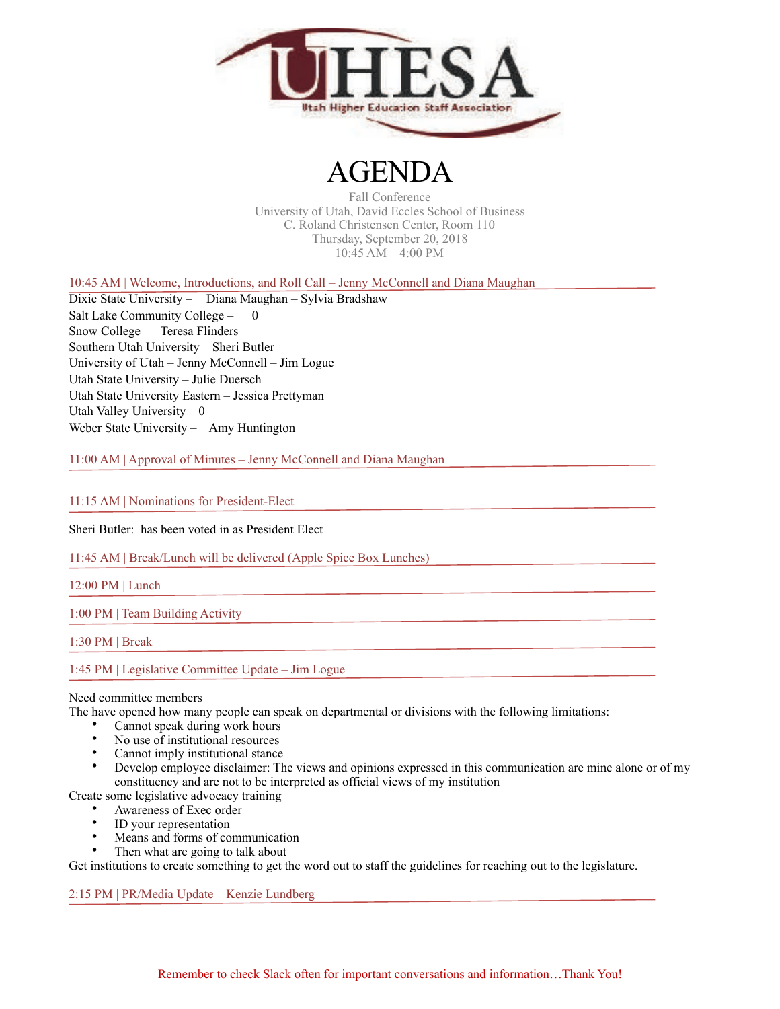

## AGENDA

Fall Conference University of Utah, David Eccles School of Business C. Roland Christensen Center, Room 110 Thursday, September 20, 2018 10:45 AM – 4:00 PM

10:45 AM | Welcome, Introductions, and Roll Call – Jenny McConnell and Diana Maughan

Dixie State University – Diana Maughan – Sylvia Bradshaw Salt Lake Community College - 0 Snow College – Teresa Flinders Southern Utah University – Sheri Butler University of Utah – Jenny McConnell – Jim Logue Utah State University – Julie Duersch Utah State University Eastern – Jessica Prettyman Utah Valley University  $-0$ Weber State University – Amy Huntington

11:00 AM | Approval of Minutes – Jenny McConnell and Diana Maughan

11:15 AM | Nominations for President-Elect

Sheri Butler: has been voted in as President Elect

11:45 AM | Break/Lunch will be delivered (Apple Spice Box Lunches)

12:00 PM | Lunch

1:00 PM | Team Building Activity

1:30 PM | Break

1:45 PM | Legislative Committee Update – Jim Logue

#### Need committee members

The have opened how many people can speak on departmental or divisions with the following limitations:

- Cannot speak during work hours<br>• No use of institutional resources
- No use of institutional resources
- Cannot imply institutional stance
- Develop employee disclaimer: The views and opinions expressed in this communication are mine alone or of my constituency and are not to be interpreted as official views of my institution

Create some legislative advocacy training

- Awareness of Exec order
- ID your representation
- Means and forms of communication
- Then what are going to talk about

Get institutions to create something to get the word out to staff the guidelines for reaching out to the legislature.

2:15 PM | PR/Media Update – Kenzie Lundberg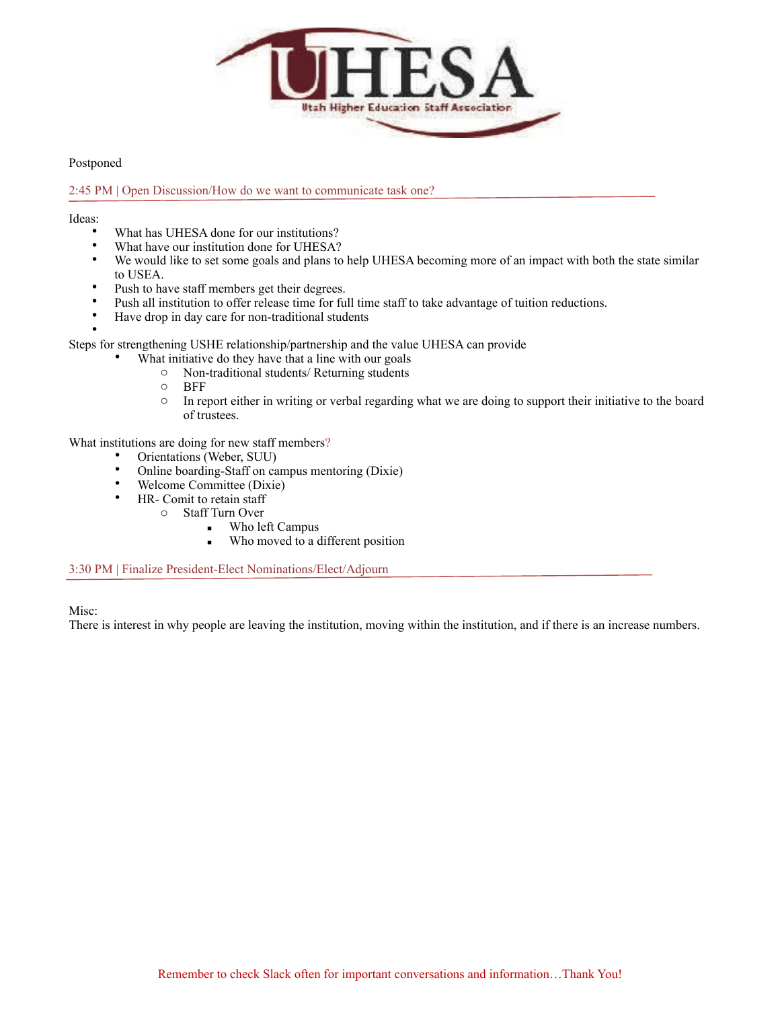

Postponed

### 2:45 PM | Open Discussion/How do we want to communicate task one?

Ideas:

- What has UHESA done for our institutions?
- What have our institution done for UHESA?
- We would like to set some goals and plans to help UHESA becoming more of an impact with both the state similar to USEA.
- Push to have staff members get their degrees.
- Push all institution to offer release time for full time staff to take advantage of tuition reductions.
- Have drop in day care for non-traditional students
- •

Steps for strengthening USHE relationship/partnership and the value UHESA can provide

- What initiative do they have that a line with our goals
	- o Non-traditional students/ Returning students
	- o BFF
	- o In report either in writing or verbal regarding what we are doing to support their initiative to the board of trustees.

What institutions are doing for new staff members?

- Orientations (Weber, SUU)<br>• Online boarding-Staff on ca
- Online boarding-Staff on campus mentoring (Dixie)<br>• Welcome Committee (Dixie)
- Welcome Committee (Dixie)<br>•  $HP_$ Comit to retain staff
- $HR$  Comit to retain staff<br>  $\circ$  Staff Turn Over
	- Staff Turn Over
		- Who left Campus
			- Who moved to a different position

3:30 PM | Finalize President-Elect Nominations/Elect/Adjourn

Misc:

There is interest in why people are leaving the institution, moving within the institution, and if there is an increase numbers.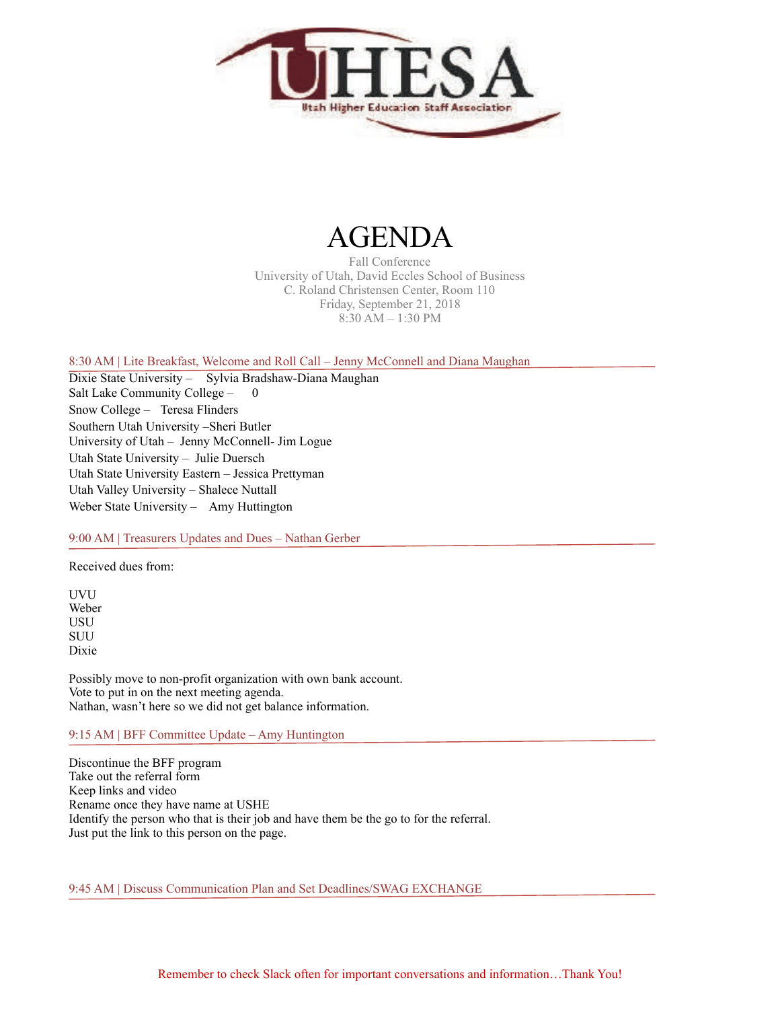

# AGENDA

Fall Conference University of Utah, David Eccles School of Business C. Roland Christensen Center, Room 110 Friday, September 21, 2018 8:30 AM – 1:30 PM

8:30 AM | Lite Breakfast, Welcome and Roll Call – Jenny McConnell and Diana Maughan

Dixie State University – Sylvia Bradshaw-Diana Maughan Salt Lake Community College – 0 Snow College – Teresa Flinders Southern Utah University –Sheri Butler University of Utah – Jenny McConnell- Jim Logue Utah State University – Julie Duersch Utah State University Eastern – Jessica Prettyman Utah Valley University – Shalece Nuttall Weber State University – Amy Huttington

### 9:00 AM | Treasurers Updates and Dues – Nathan Gerber

Received dues from:

UVU Weber USU **SUU** Dixie

Possibly move to non-profit organization with own bank account. Vote to put in on the next meeting agenda. Nathan, wasn't here so we did not get balance information.

9:15 AM | BFF Committee Update – Amy Huntington

Discontinue the BFF program Take out the referral form Keep links and video Rename once they have name at USHE Identify the person who that is their job and have them be the go to for the referral. Just put the link to this person on the page.

9:45 AM | Discuss Communication Plan and Set Deadlines/SWAG EXCHANGE